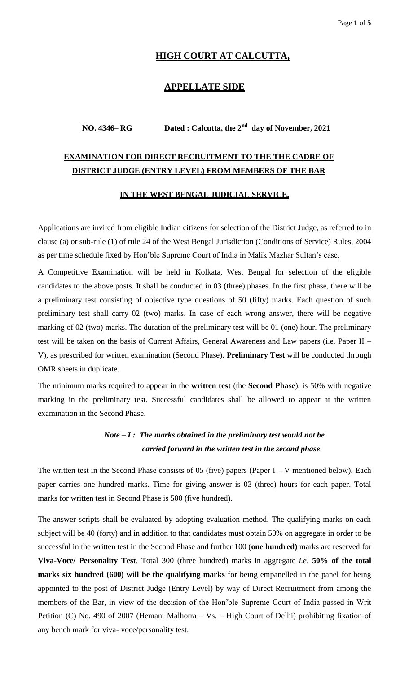## **HIGH COURT AT CALCUTTA,**

### **APPELLATE SIDE**

## **NO. 4346– RG Dated : Calcutta, the 2nd day of November, 2021**

# **EXAMINATION FOR DIRECT RECRUITMENT TO THE THE CADRE OF DISTRICT JUDGE (ENTRY LEVEL) FROM MEMBERS OF THE BAR**

#### **IN THE WEST BENGAL JUDICIAL SERVICE.**

Applications are invited from eligible Indian citizens for selection of the District Judge, as referred to in clause (a) or sub-rule (1) of rule 24 of the West Bengal Jurisdiction (Conditions of Service) Rules, 2004 as per time schedule fixed by Hon'ble Supreme Court of India in Malik Mazhar Sultan's case.

A Competitive Examination will be held in Kolkata, West Bengal for selection of the eligible candidates to the above posts. It shall be conducted in 03 (three) phases. In the first phase, there will be a preliminary test consisting of objective type questions of 50 (fifty) marks. Each question of such preliminary test shall carry 02 (two) marks. In case of each wrong answer, there will be negative marking of 02 (two) marks. The duration of the preliminary test will be 01 (one) hour. The preliminary test will be taken on the basis of Current Affairs, General Awareness and Law papers (i.e. Paper II – V), as prescribed for written examination (Second Phase). **Preliminary Test** will be conducted through OMR sheets in duplicate.

The minimum marks required to appear in the **written test** (the **Second Phase**), is 50% with negative marking in the preliminary test. Successful candidates shall be allowed to appear at the written examination in the Second Phase.

## *Note – I : The marks obtained in the preliminary test would not be carried forward in the written test in the second phase.*

The written test in the Second Phase consists of 05 (five) papers (Paper  $I - V$  mentioned below). Each paper carries one hundred marks. Time for giving answer is 03 (three) hours for each paper. Total marks for written test in Second Phase is 500 (five hundred).

The answer scripts shall be evaluated by adopting evaluation method. The qualifying marks on each subject will be 40 (forty) and in addition to that candidates must obtain 50% on aggregate in order to be successful in the written test in the Second Phase and further 100 (**one hundred)** marks are reserved for **Viva-Voce/ Personality Test**. Total 300 (three hundred) marks in aggregate *i.e*. **50% of the total marks six hundred (600) will be the qualifying marks** for being empanelled in the panel for being appointed to the post of District Judge (Entry Level) by way of Direct Recruitment from among the members of the Bar, in view of the decision of the Hon'ble Supreme Court of India passed in Writ Petition (C) No. 490 of 2007 (Hemani Malhotra – Vs. – High Court of Delhi) prohibiting fixation of any bench mark for viva- voce/personality test.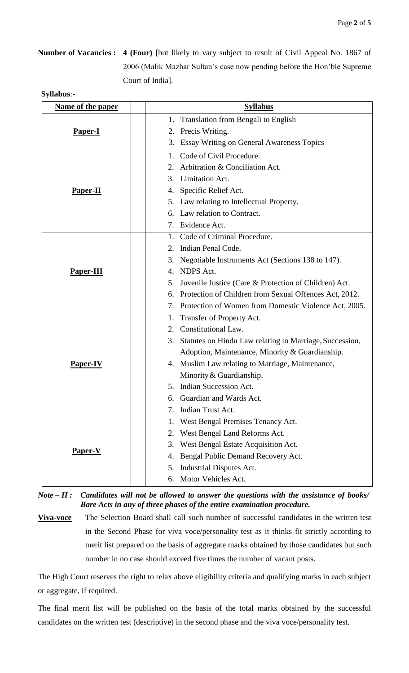**Number of Vacancies : 4 (Four)** [but likely to vary subject to result of Civil Appeal No. 1867 of 2006 (Malik Mazhar Sultan's case now pending before the Hon'ble Supreme Court of India].

| Name of the paper | <b>Syllabus</b>                                               |  |
|-------------------|---------------------------------------------------------------|--|
|                   | Translation from Bengali to English<br>1.                     |  |
| Paper-I           | 2. Precis Writing.                                            |  |
|                   | 3. Essay Writing on General Awareness Topics                  |  |
|                   | Code of Civil Procedure.<br>1.                                |  |
|                   | Arbitration & Conciliation Act.<br>2.                         |  |
|                   | Limitation Act.<br>3.                                         |  |
| <b>Paper-II</b>   | 4. Specific Relief Act.                                       |  |
|                   | 5. Law relating to Intellectual Property.                     |  |
|                   | 6. Law relation to Contract.                                  |  |
|                   | 7. Evidence Act.                                              |  |
|                   | 1. Code of Criminal Procedure.                                |  |
|                   | Indian Penal Code.<br>2.                                      |  |
|                   | Negotiable Instruments Act (Sections 138 to 147).<br>3.       |  |
| <b>Paper-III</b>  | 4. NDPS Act.                                                  |  |
|                   | Juvenile Justice (Care & Protection of Children) Act.<br>5.   |  |
|                   | Protection of Children from Sexual Offences Act, 2012.<br>6.  |  |
|                   | 7. Protection of Women from Domestic Violence Act, 2005.      |  |
|                   | Transfer of Property Act.<br>1.                               |  |
|                   | 2. Constitutional Law.                                        |  |
|                   | Statutes on Hindu Law relating to Marriage, Succession,<br>3. |  |
|                   | Adoption, Maintenance, Minority & Guardianship.               |  |
| Paper-IV          | 4. Muslim Law relating to Marriage, Maintenance,              |  |
|                   | Minority & Guardianship.                                      |  |
|                   | 5. Indian Succession Act.                                     |  |
|                   | Guardian and Wards Act.                                       |  |
|                   | Indian Trust Act.<br>7.                                       |  |
|                   | West Bengal Premises Tenancy Act.<br>1.                       |  |
|                   | West Bengal Land Reforms Act.<br>2.                           |  |
| <b>Paper-V</b>    | West Bengal Estate Acquisition Act.<br>3.                     |  |
|                   | Bengal Public Demand Recovery Act.<br>4.                      |  |
|                   | Industrial Disputes Act.<br>5.                                |  |
|                   | Motor Vehicles Act.<br>6.                                     |  |

*Note – II : Candidates will not be allowed to answer the questions with the assistance of books/ Bare Acts in any of three phases of the entire examination procedure.* 

**Viva-voce** The Selection Board shall call such number of successful candidates in the written test in the Second Phase for viva voce/personality test as it thinks fit strictly according to merit list prepared on the basis of aggregate marks obtained by those candidates but such number in no case should exceed five times the number of vacant posts.

The High Court reserves the right to relax above eligibility criteria and qualifying marks in each subject or aggregate, if required.

The final merit list will be published on the basis of the total marks obtained by the successful candidates on the written test (descriptive) in the second phase and the viva voce/personality test.

## **Syllabus**:-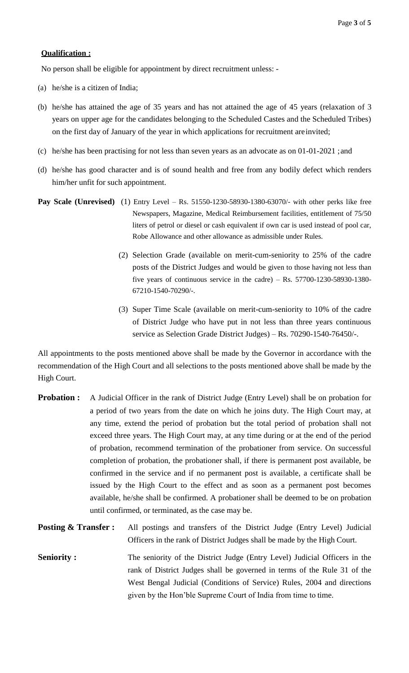#### **Qualification :**

No person shall be eligible for appointment by direct recruitment unless: -

- (a) he/she is a citizen of India;
- (b) he/she has attained the age of 35 years and has not attained the age of 45 years (relaxation of 3 years on upper age for the candidates belonging to the Scheduled Castes and the Scheduled Tribes) on the first day of January of the year in which applications for recruitment are invited;
- (c) he/she has been practising for not less than seven years as an advocate as on 01-01-2021 ;and
- (d) he/she has good character and is of sound health and free from any bodily defect which renders him/her unfit for such appointment.
- **Pay Scale (Unrevised)** (1) Entry Level Rs. 51550-1230-58930-1380-63070/- with other perks like free Newspapers, Magazine, Medical Reimbursement facilities, entitlement of 75/50 liters of petrol or diesel or cash equivalent if own car is used instead of pool car, Robe Allowance and other allowance as admissible under Rules.
	- (2) Selection Grade (available on merit-cum-seniority to 25% of the cadre posts of the District Judges and would be given to those having not less than five years of continuous service in the cadre) – Rs.  $57700-1230-58930-1380-$ 67210-1540-70290/-.
	- (3) Super Time Scale (available on merit-cum-seniority to 10% of the cadre of District Judge who have put in not less than three years continuous service as Selection Grade District Judges) – Rs. 70290-1540-76450/-.

All appointments to the posts mentioned above shall be made by the Governor in accordance with the recommendation of the High Court and all selections to the posts mentioned above shall be made by the High Court.

- **Probation :** A Judicial Officer in the rank of District Judge (Entry Level) shall be on probation for a period of two years from the date on which he joins duty. The High Court may, at any time, extend the period of probation but the total period of probation shall not exceed three years. The High Court may, at any time during or at the end of the period of probation, recommend termination of the probationer from service. On successful completion of probation, the probationer shall, if there is permanent post available, be confirmed in the service and if no permanent post is available, a certificate shall be issued by the High Court to the effect and as soon as a permanent post becomes available, he/she shall be confirmed. A probationer shall be deemed to be on probation until confirmed, or terminated, as the case may be.
- **Posting & Transfer :** All postings and transfers of the District Judge (Entry Level) Judicial Officers in the rank of District Judges shall be made by the High Court.
- **Seniority :** The seniority of the District Judge (Entry Level) Judicial Officers in the rank of District Judges shall be governed in terms of the Rule 31 of the West Bengal Judicial (Conditions of Service) Rules, 2004 and directions given by the Hon'ble Supreme Court of India from time to time.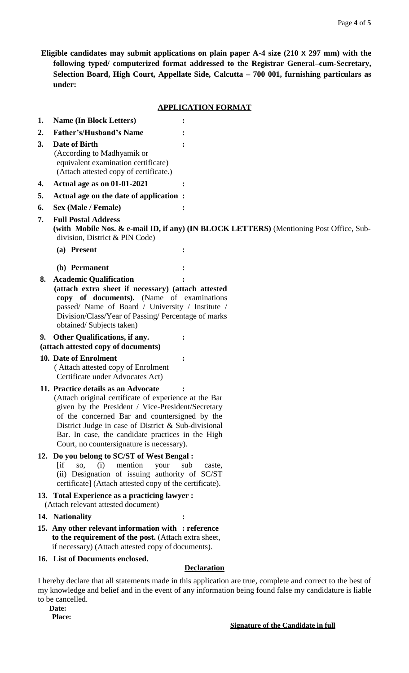**Eligible candidates may submit applications on plain paper A-4 size (210 X 297 mm) with the following typed/ computerized format addressed to the Registrar General–cum-Secretary, Selection Board, High Court, Appellate Side, Calcutta – 700 001, furnishing particulars as under:**

### **APPLICATION FORMAT**

| 1. | <b>Name (In Block Letters)</b>                                                                                                                                                                                                                                                                                                                              |                    |  |
|----|-------------------------------------------------------------------------------------------------------------------------------------------------------------------------------------------------------------------------------------------------------------------------------------------------------------------------------------------------------------|--------------------|--|
| 2. | <b>Father's/Husband's Name</b>                                                                                                                                                                                                                                                                                                                              |                    |  |
| 3. | Date of Birth<br>(According to Madhyamik or<br>equivalent examination certificate)<br>(Attach attested copy of certificate.)                                                                                                                                                                                                                                |                    |  |
| 4. | Actual age as on 01-01-2021                                                                                                                                                                                                                                                                                                                                 |                    |  |
| 5. | Actual age on the date of application:                                                                                                                                                                                                                                                                                                                      |                    |  |
| 6. | <b>Sex (Male / Female)</b>                                                                                                                                                                                                                                                                                                                                  |                    |  |
| 7. | <b>Full Postal Address</b><br>(with Mobile Nos. & e-mail ID, if any) (IN BLOCK LETTERS) (Mentioning Post Office, Sub-<br>division, District & PIN Code)                                                                                                                                                                                                     |                    |  |
|    | (a) Present                                                                                                                                                                                                                                                                                                                                                 |                    |  |
|    | (b) Permanent                                                                                                                                                                                                                                                                                                                                               |                    |  |
| 8. | <b>Academic Qualification</b><br>(attach extra sheet if necessary) (attach attested<br>copy of documents). (Name of examinations<br>passed/ Name of Board / University / Institute /<br>Division/Class/Year of Passing/ Percentage of marks<br>obtained/Subjects taken)                                                                                     |                    |  |
|    | Other Qualifications, if any.<br>9.<br>(attach attested copy of documents)                                                                                                                                                                                                                                                                                  |                    |  |
|    | 10. Date of Enrolment<br>(Attach attested copy of Enrolment<br>Certificate under Advocates Act)                                                                                                                                                                                                                                                             |                    |  |
|    | 11. Practice details as an Advocate<br>(Attach original certificate of experience at the Bar<br>given by the President / Vice-President/Secretary<br>of the concerned Bar and countersigned by the<br>District Judge in case of District & Sub-divisional<br>Bar. In case, the candidate practices in the High<br>Court, no countersignature is necessary). |                    |  |
|    | 12. Do you belong to SC/ST of West Bengal:<br>mention<br>$\int$<br>SO,<br>(i)<br>your<br>sub<br>caste,<br>(ii) Designation of issuing authority of SC/ST<br>certificate] (Attach attested copy of the certificate).                                                                                                                                         |                    |  |
|    | 13. Total Experience as a practicing lawyer :                                                                                                                                                                                                                                                                                                               |                    |  |
|    | (Attach relevant attested document)                                                                                                                                                                                                                                                                                                                         |                    |  |
|    | 14. Nationality                                                                                                                                                                                                                                                                                                                                             |                    |  |
|    | 15. Any other relevant information with : reference<br>to the requirement of the post. (Attach extra sheet,<br>if necessary) (Attach attested copy of documents).                                                                                                                                                                                           |                    |  |
|    | 16. List of Documents enclosed.                                                                                                                                                                                                                                                                                                                             | <b>Declaration</b> |  |

I hereby declare that all statements made in this application are true, complete and correct to the best of my knowledge and belief and in the event of any information being found false my candidature is liable to be cancelled.

 **Date: Place:**

**Signature of the Candidate in full**